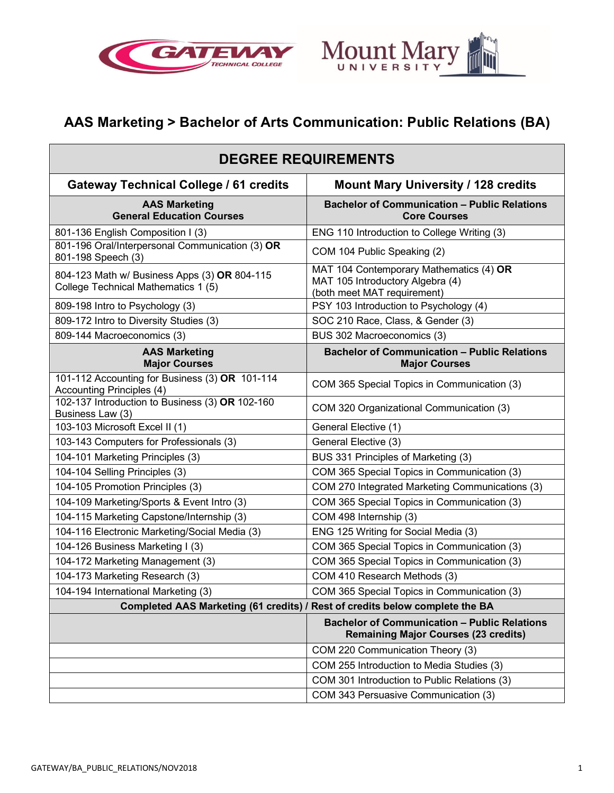

Г



# **AAS Marketing > Bachelor of Arts Communication: Public Relations (BA)**

| <b>DEGREE REQUIREMENTS</b>                                                          |                                                                                                            |
|-------------------------------------------------------------------------------------|------------------------------------------------------------------------------------------------------------|
| <b>Gateway Technical College / 61 credits</b>                                       | <b>Mount Mary University / 128 credits</b>                                                                 |
| <b>AAS Marketing</b><br><b>General Education Courses</b>                            | <b>Bachelor of Communication - Public Relations</b><br><b>Core Courses</b>                                 |
| 801-136 English Composition I (3)                                                   | ENG 110 Introduction to College Writing (3)                                                                |
| 801-196 Oral/Interpersonal Communication (3) OR<br>801-198 Speech (3)               | COM 104 Public Speaking (2)                                                                                |
| 804-123 Math w/ Business Apps (3) OR 804-115<br>College Technical Mathematics 1 (5) | MAT 104 Contemporary Mathematics (4) OR<br>MAT 105 Introductory Algebra (4)<br>(both meet MAT requirement) |
| 809-198 Intro to Psychology (3)                                                     | PSY 103 Introduction to Psychology (4)                                                                     |
| 809-172 Intro to Diversity Studies (3)                                              | SOC 210 Race, Class, & Gender (3)                                                                          |
| 809-144 Macroeconomics (3)                                                          | BUS 302 Macroeconomics (3)                                                                                 |
| <b>AAS Marketing</b><br><b>Major Courses</b>                                        | <b>Bachelor of Communication - Public Relations</b><br><b>Major Courses</b>                                |
| 101-112 Accounting for Business (3) OR 101-114<br>Accounting Principles (4)         | COM 365 Special Topics in Communication (3)                                                                |
| 102-137 Introduction to Business (3) OR 102-160<br>Business Law (3)                 | COM 320 Organizational Communication (3)                                                                   |
| 103-103 Microsoft Excel II (1)                                                      | General Elective (1)                                                                                       |
| 103-143 Computers for Professionals (3)                                             | General Elective (3)                                                                                       |
| 104-101 Marketing Principles (3)                                                    | BUS 331 Principles of Marketing (3)                                                                        |
| 104-104 Selling Principles (3)                                                      | COM 365 Special Topics in Communication (3)                                                                |
| 104-105 Promotion Principles (3)                                                    | COM 270 Integrated Marketing Communications (3)                                                            |
| 104-109 Marketing/Sports & Event Intro (3)                                          | COM 365 Special Topics in Communication (3)                                                                |
| 104-115 Marketing Capstone/Internship (3)                                           | COM 498 Internship (3)                                                                                     |
| 104-116 Electronic Marketing/Social Media (3)                                       | ENG 125 Writing for Social Media (3)                                                                       |
| 104-126 Business Marketing I (3)                                                    | COM 365 Special Topics in Communication (3)                                                                |
| 104-172 Marketing Management (3)                                                    | COM 365 Special Topics in Communication (3)                                                                |
| 104-173 Marketing Research (3)                                                      | COM 410 Research Methods (3)                                                                               |
| 104-194 International Marketing (3)                                                 | COM 365 Special Topics in Communication (3)                                                                |
|                                                                                     | Completed AAS Marketing (61 credits) / Rest of credits below complete the BA                               |
|                                                                                     | <b>Bachelor of Communication - Public Relations</b><br><b>Remaining Major Courses (23 credits)</b>         |
|                                                                                     | COM 220 Communication Theory (3)                                                                           |
|                                                                                     | COM 255 Introduction to Media Studies (3)                                                                  |
|                                                                                     | COM 301 Introduction to Public Relations (3)                                                               |
|                                                                                     | COM 343 Persuasive Communication (3)                                                                       |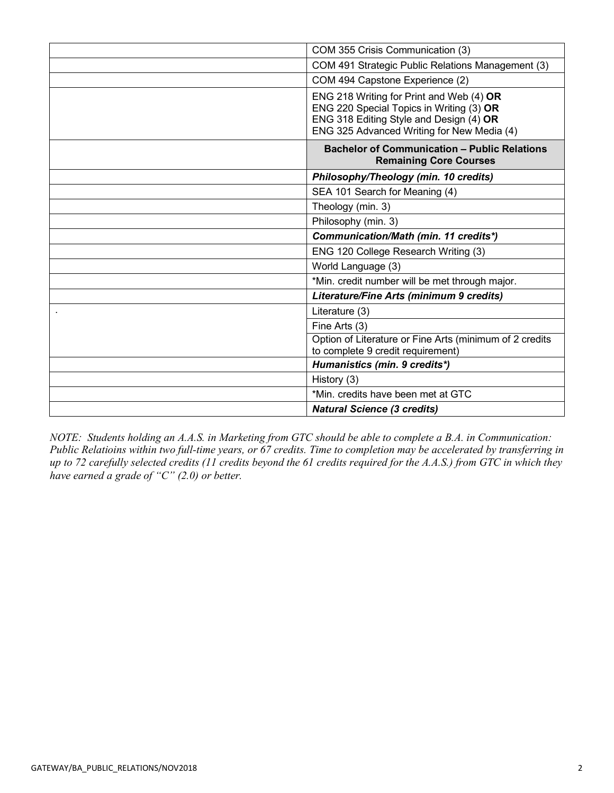| COM 355 Crisis Communication (3)                                                                                                                                              |
|-------------------------------------------------------------------------------------------------------------------------------------------------------------------------------|
| COM 491 Strategic Public Relations Management (3)                                                                                                                             |
| COM 494 Capstone Experience (2)                                                                                                                                               |
| ENG 218 Writing for Print and Web (4) OR<br>ENG 220 Special Topics in Writing (3) OR<br>ENG 318 Editing Style and Design (4) OR<br>ENG 325 Advanced Writing for New Media (4) |
| <b>Bachelor of Communication - Public Relations</b><br><b>Remaining Core Courses</b>                                                                                          |
| Philosophy/Theology (min. 10 credits)                                                                                                                                         |
| SEA 101 Search for Meaning (4)                                                                                                                                                |
| Theology (min. 3)                                                                                                                                                             |
| Philosophy (min. 3)                                                                                                                                                           |
|                                                                                                                                                                               |
| Communication/Math (min. 11 credits*)                                                                                                                                         |
| ENG 120 College Research Writing (3)                                                                                                                                          |
| World Language (3)                                                                                                                                                            |
| *Min. credit number will be met through major.                                                                                                                                |
| Literature/Fine Arts (minimum 9 credits)                                                                                                                                      |
| Literature (3)                                                                                                                                                                |
| Fine Arts (3)                                                                                                                                                                 |
| Option of Literature or Fine Arts (minimum of 2 credits<br>to complete 9 credit requirement)                                                                                  |
| Humanistics (min. 9 credits*)                                                                                                                                                 |
| History (3)                                                                                                                                                                   |
| *Min. credits have been met at GTC                                                                                                                                            |

*NOTE: Students holding an A.A.S. in Marketing from GTC should be able to complete a B.A. in Communication: Public Relatioins within two full-time years, or 67 credits. Time to completion may be accelerated by transferring in up to 72 carefully selected credits (11 credits beyond the 61 credits required for the A.A.S.) from GTC in which they have earned a grade of "C" (2.0) or better.*